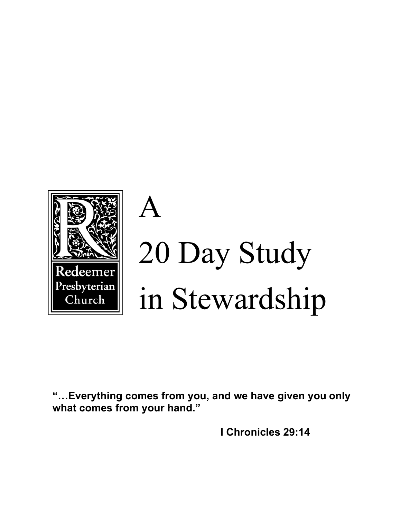

# A 20 Day Study in Stewardship

**"…Everything comes from you, and we have given you only what comes from your hand."** 

 **I Chronicles 29:14**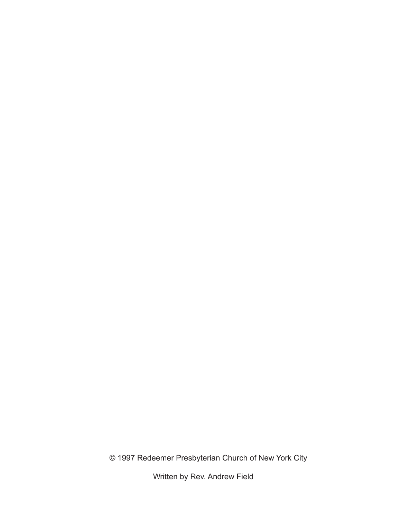© 1997 Redeemer Presbyterian Church of New York City

Written by Rev. Andrew Field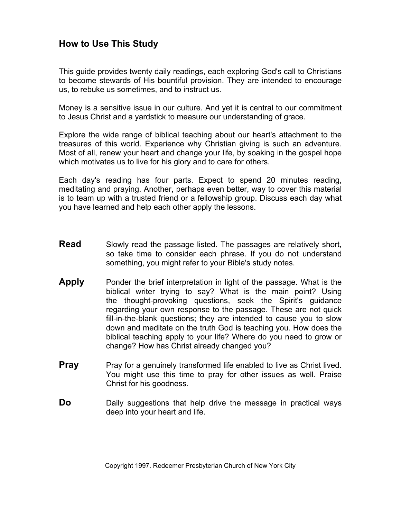## **How to Use This Study**

This guide provides twenty daily readings, each exploring God's call to Christians to become stewards of His bountiful provision. They are intended to encourage us, to rebuke us sometimes, and to instruct us.

Money is a sensitive issue in our culture. And yet it is central to our commitment to Jesus Christ and a yardstick to measure our understanding of grace.

Explore the wide range of biblical teaching about our heart's attachment to the treasures of this world. Experience why Christian giving is such an adventure. Most of all, renew your heart and change your life, by soaking in the gospel hope which motivates us to live for his glory and to care for others.

Each day's reading has four parts. Expect to spend 20 minutes reading, meditating and praying. Another, perhaps even better, way to cover this material is to team up with a trusted friend or a fellowship group. Discuss each day what you have learned and help each other apply the lessons.

- **Read** Slowly read the passage listed. The passages are relatively short, so take time to consider each phrase. If you do not understand something, you might refer to your Bible's study notes.
- **Apply** Ponder the brief interpretation in light of the passage. What is the biblical writer trying to say? What is the main point? Using the thought-provoking questions, seek the Spirit's guidance regarding your own response to the passage. These are not quick fill-in-the-blank questions; they are intended to cause you to slow down and meditate on the truth God is teaching you. How does the biblical teaching apply to your life? Where do you need to grow or change? How has Christ already changed you?
- **Pray** Pray for a genuinely transformed life enabled to live as Christ lived. You might use this time to pray for other issues as well. Praise Christ for his goodness.
- **Do** Daily suggestions that help drive the message in practical ways deep into your heart and life.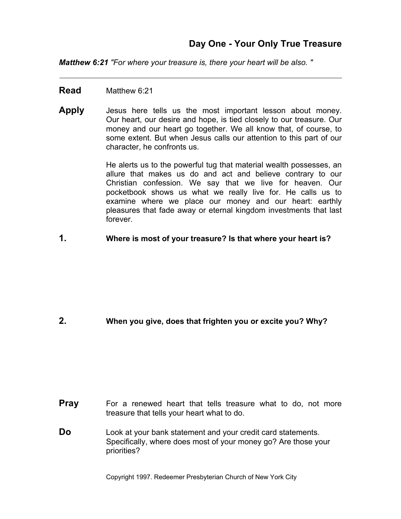*Matthew 6:21 "For where your treasure is, there your heart will be also. "* 

#### **Read** Matthew 6:21

**Apply** Jesus here tells us the most important lesson about money. Our heart, our desire and hope, is tied closely to our treasure. Our money and our heart go together. We all know that, of course, to some extent. But when Jesus calls our attention to this part of our character, he confronts us.

> He alerts us to the powerful tug that material wealth possesses, an allure that makes us do and act and believe contrary to our Christian confession. We say that we live for heaven. Our pocketbook shows us what we really live for. He calls us to examine where we place our money and our heart: earthly pleasures that fade away or eternal kingdom investments that last forever.

**1. Where is most of your treasure? Is that where your heart is?** 

#### **2. When you give, does that frighten you or excite you? Why?**

- **Pray** For a renewed heart that tells treasure what to do, not more treasure that tells your heart what to do.
- **Do** Look at your bank statement and your credit card statements. Specifically, where does most of your money go? Are those your priorities?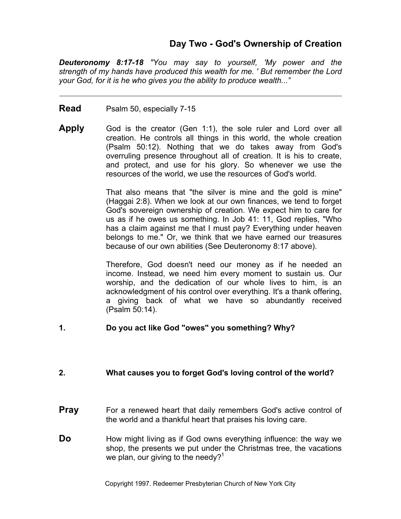## **Day Two - God's Ownership of Creation**

*Deuteronomy 8:17-18 "You may say to yourself, 'My power and the strength of my hands have produced this wealth for me. ' But remember the Lord your God, for it is he who gives you the ability to produce wealth..."* 

- **Read** Psalm 50, especially 7-15
- **Apply** God is the creator (Gen 1:1), the sole ruler and Lord over all creation. He controls all things in this world, the whole creation (Psalm 50:12). Nothing that we do takes away from God's overruling presence throughout all of creation. It is his to create, and protect, and use for his glory. So whenever we use the resources of the world, we use the resources of God's world.

That also means that "the silver is mine and the gold is mine" (Haggai 2:8). When we look at our own finances, we tend to forget God's sovereign ownership of creation. We expect him to care for us as if he owes us something. In Job 41: 11, God replies, "Who has a claim against me that I must pay? Everything under heaven belongs to me." Or, we think that we have earned our treasures because of our own abilities (See Deuteronomy 8:17 above).

Therefore, God doesn't need our money as if he needed an income. Instead, we need him every moment to sustain us. Our worship, and the dedication of our whole lives to him, is an acknowledgment of his control over everything. It's a thank offering, a giving back of what we have so abundantly received (Psalm 50:14).

#### **1. Do you act like God "owes" you something? Why?**

#### **2. What causes you to forget God's loving control of the world?**

- **Pray** For a renewed heart that daily remembers God's active control of the world and a thankful heart that praises his loving care.
- **Do** How might living as if God owns everything influence: the way we shop, the presents we put under the Christmas tree, the vacations we plan, our giving to the needy? $1$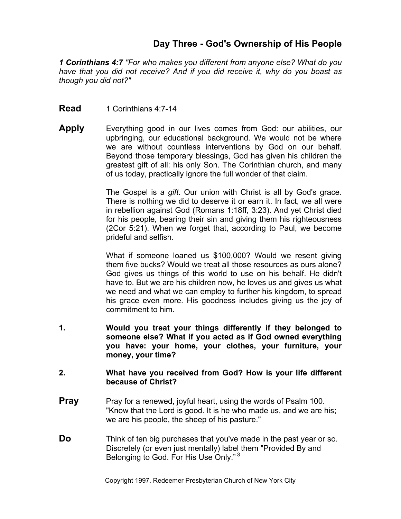# **Day Three - God's Ownership of His People**

*1 Corinthians 4:7 "For who makes you different from anyone else? What do you have that you did not receive? And if you did receive it, why do you boast as though you did not?"* 

#### **Read** 1 Corinthians 4:7-14

**Apply** Everything good in our lives comes from God: our abilities, our upbringing, our educational background. We would not be where we are without countless interventions by God on our behalf. Beyond those temporary blessings, God has given his children the greatest gift of all: his only Son. The Corinthian church, and many of us today, practically ignore the full wonder of that claim.

> The Gospel is a *gift*. Our union with Christ is all by God's grace. There is nothing we did to deserve it or earn it. In fact, we all were in rebellion against God (Romans 1:18ff, 3:23). And yet Christ died for his people, bearing their sin and giving them his righteousness (2Cor 5:21). When we forget that, according to Paul, we become prideful and selfish.

> What if someone loaned us \$100,000? Would we resent giving them five bucks? Would we treat all those resources as ours alone? God gives us things of this world to use on his behalf. He didn't have to. But we are his children now, he loves us and gives us what we need and what we can employ to further his kingdom, to spread his grace even more. His goodness includes giving us the joy of commitment to him.

**1. Would you treat your things differently if they belonged to someone else? What if you acted as if God owned everything you have: your home, your clothes, your furniture, your money, your time?** 

#### **2. What have you received from God? How is your life different because of Christ?**

- **Pray** Pray for a renewed, joyful heart, using the words of Psalm 100. "Know that the Lord is good. It is he who made us, and we are his; we are his people, the sheep of his pasture."
- **Do** Think of ten big purchases that you've made in the past year or so. Discretely (or even just mentally) label them "Provided By and Belonging to God. For His Use Only."<sup>3</sup>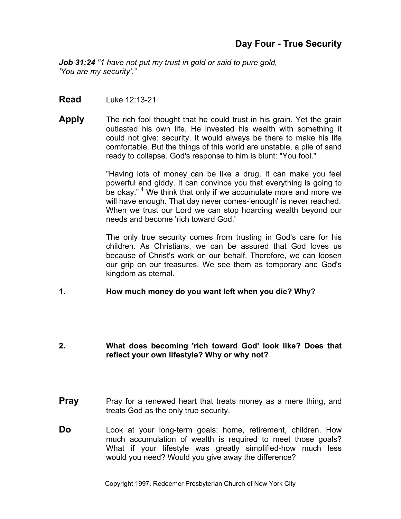*Job 31:24 "1 have not put my trust in gold or said to pure gold, 'You are my security'."* 

#### **Read** Luke 12:13-21

**Apply** The rich fool thought that he could trust in his grain. Yet the grain outlasted his own life. He invested his wealth with something it could not give: security. It would always be there to make his life comfortable. But the things of this world are unstable, a pile of sand ready to collapse. God's response to him is blunt: "You fool."

> "Having lots of money can be like a drug. It can make you feel powerful and giddy. It can convince you that everything is going to be okay."<sup>4</sup> We think that only if we accumulate more and more we will have enough. That day never comes-'enough' is never reached. When we trust our Lord we can stop hoarding wealth beyond our needs and become 'rich toward God.'

> The only true security comes from trusting in God's care for his children. As Christians, we can be assured that God loves us because of Christ's work on our behalf. Therefore, we can loosen our grip on our treasures. We see them as temporary and God's kingdom as eternal.

#### **1. How much money do you want left when you die? Why?**

#### **2. What does becoming 'rich toward God' look like? Does that reflect your own lifestyle? Why or why not?**

- **Pray** Pray for a renewed heart that treats money as a mere thing, and treats God as the only true security.
- **Do** Look at your long-term goals: home, retirement, children. How much accumulation of wealth is required to meet those goals? What if your lifestyle was greatly simplified-how much less would you need? Would you give away the difference?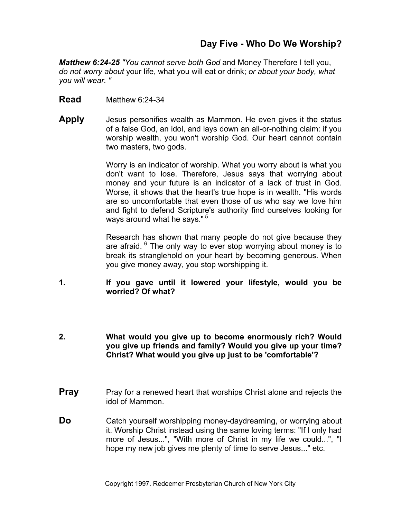# **Day Five - Who Do We Worship?**

*Matthew 6:24-25 "You cannot serve both God* and Money Therefore I tell you, *do not worry about* your life, what you will eat or drink; *or about your body, what you will wear. "*

#### **Read** Matthew 6:24-34

**Apply** Jesus personifies wealth as Mammon. He even gives it the status of a false God, an idol, and lays down an all-or-nothing claim: if you worship wealth, you won't worship God. Our heart cannot contain two masters, two gods.

> Worry is an indicator of worship. What you worry about is what you don't want to lose. Therefore, Jesus says that worrying about money and your future is an indicator of a lack of trust in God. Worse, it shows that the heart's true hope is in wealth. "His words are so uncomfortable that even those of us who say we love him and fight to defend Scripture's authority find ourselves looking for ways around what he says."<sup>5</sup>

> Research has shown that many people do not give because they are afraid. 6 The only way to ever stop worrying about money is to break its stranglehold on your heart by becoming generous. When you give money away, you stop worshipping it.

- **1. If you gave until it lowered your lifestyle, would you be worried? Of what?**
- **2. What would you give up to become enormously rich? Would you give up friends and family? Would you give up your time? Christ? What would you give up just to be 'comfortable'?**
- **Pray** Pray for a renewed heart that worships Christ alone and rejects the idol of Mammon.
- **Do** Catch yourself worshipping money-daydreaming, or worrying about it. Worship Christ instead using the same loving terms: "If I only had more of Jesus...", "With more of Christ in my life we could...", "I hope my new job gives me plenty of time to serve Jesus..." etc.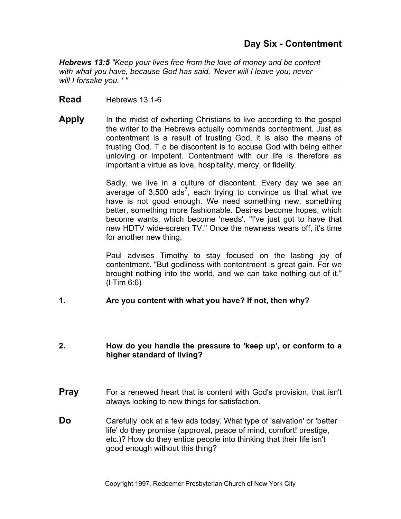## **Day Six - Contentment**

*Hebrews 13:5 "Keep your lives free from the love of money and be content with what you have, because God has said, 'Never will I leave you; never will I forsake you. ' "*

#### **Read** Hebrews 13:1-6

**Apply** In the midst of exhorting Christians to live according to the gospel the writer to the Hebrews actually commands contentment. Just as contentment is a result of trusting God, it is also the means of trusting God. T o be discontent is to accuse God with being either unloving or impotent. Contentment with our life is therefore as important a virtue as love, hospitality, mercy, or fidelity.

> Sadly, we live in a culture of discontent. Every day we see an average of  $3,500$  ads<sup>7</sup>, each trying to convince us that what we have is not good enough. We need something new, something better, something more fashionable. Desires become hopes, which become wants, which become 'needs'. "I've just got to have that new HDTV wide-screen TV." Once the newness wears off, it's time for another new thing.

> Paul advises Timothy to stay focused on the lasting joy of contentment. "But godliness with contentment is great gain. For we brought nothing into the world, and we can take nothing out of it." (l Tim 6:6)

#### **1. Are you content with what you have? If not, then why?**

#### **2. How do you handle the pressure to 'keep up', or conform to a higher standard of living?**

- **Pray** For a renewed heart that is content with God's provision, that isn't always looking to new things for satisfaction.
- **Do** Carefully look at a few ads today. What type of 'salvation' or 'better life' do they promise (approval, peace of mind, comfort! prestige, etc.)? How do they entice people into thinking that their life isn't good enough without this thing?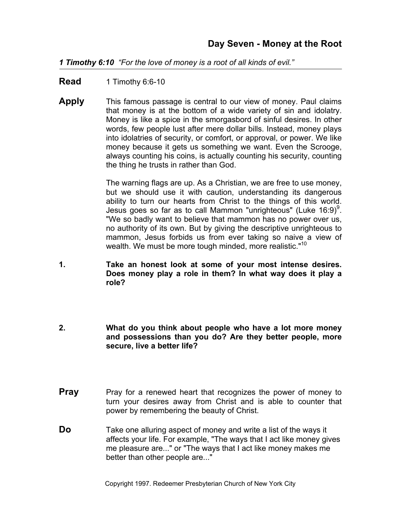*1 Timothy 6:10 "For the love of money is a root of all kinds of evil."*

**Read** 1 Timothy 6:6-10

**Apply** This famous passage is central to our view of money. Paul claims that money is at the bottom of a wide variety of sin and idolatry. Money is like a spice in the smorgasbord of sinful desires. In other words, few people lust after mere dollar bills. Instead, money plays into idolatries of security, or comfort, or approval, or power. We like money because it gets us something we want. Even the Scrooge, always counting his coins, is actually counting his security, counting the thing he trusts in rather than God.

> The warning flags are up. As a Christian, we are free to use money, but we should use it with caution, understanding its dangerous ability to turn our hearts from Christ to the things of this world. Jesus goes so far as to call Mammon "unrighteous" (Luke 16:9) $9$ . "We so badly want to believe that mammon has no power over us, no authority of its own. But by giving the descriptive unrighteous to mammon, Jesus forbids us from ever taking so naive a view of wealth. We must be more tough minded, more realistic."<sup>10</sup>

- **1. Take an honest look at some of your most intense desires. Does money play a role in them? In what way does it play a role?**
- **2. What do you think about people who have a lot more money and possessions than you do? Are they better people, more secure, live a better life?**
- **Pray** Pray for a renewed heart that recognizes the power of money to turn your desires away from Christ and is able to counter that power by remembering the beauty of Christ.
- **Do** Take one alluring aspect of money and write a list of the ways it affects your life. For example, "The ways that I act like money gives me pleasure are..." or "The ways that I act like money makes me better than other people are..."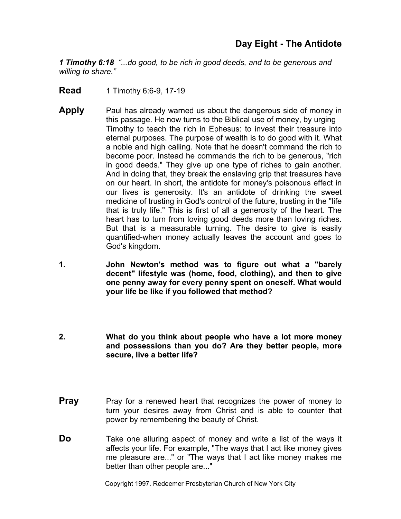*1 Timothy 6:18 "...do good, to be rich in good deeds, and to be generous and willing to share."*

**Read** 1 Timothy 6:6-9, 17-19

- **Apply** Paul has already warned us about the dangerous side of money in this passage. He now turns to the Biblical use of money, by urging Timothy to teach the rich in Ephesus: to invest their treasure into eternal purposes. The purpose of wealth is to do good with it. What a noble and high calling. Note that he doesn't command the rich to become poor. Instead he commands the rich to be generous, "rich in good deeds." They give up one type of riches to gain another. And in doing that, they break the enslaving grip that treasures have on our heart. In short, the antidote for money's poisonous effect in our lives is generosity. It's an antidote of drinking the sweet medicine of trusting in God's control of the future, trusting in the "life that is truly life." This is first of all a generosity of the heart. The heart has to turn from loving good deeds more than loving riches. But that is a measurable turning. The desire to give is easily quantified-when money actually leaves the account and goes to God's kingdom.
- **1. John Newton's method was to figure out what a "barely decent" lifestyle was (home, food, clothing), and then to give one penny away for every penny spent on oneself. What would your life be like if you followed that method?**
- **2. What do you think about people who have a lot more money and possessions than you do? Are they better people, more secure, live a better life?**
- **Pray** Pray for a renewed heart that recognizes the power of money to turn your desires away from Christ and is able to counter that power by remembering the beauty of Christ.
- **Do** Take one alluring aspect of money and write a list of the ways it affects your life. For example, "The ways that I act like money gives me pleasure are..." or "The ways that I act like money makes me better than other people are..."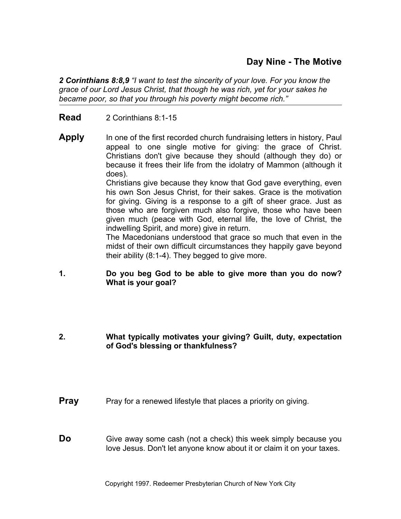# **Day Nine - The Motive**

*2 Corinthians 8:8,9 "I want to test the sincerity of your love. For you know the grace of our Lord Jesus Christ, that though he was rich, yet for your sakes he became poor, so that you through his poverty might become rich."*

- **Read** 2 Corinthians 8:1-15
- **Apply** In one of the first recorded church fundraising letters in history, Paul appeal to one single motive for giving: the grace of Christ. Christians don't give because they should (although they do) or because it frees their life from the idolatry of Mammon (although it does).

Christians give because they know that God gave everything, even his own Son Jesus Christ, for their sakes. Grace is the motivation for giving. Giving is a response to a gift of sheer grace. Just as those who are forgiven much also forgive, those who have been given much (peace with God, eternal life, the love of Christ, the indwelling Spirit, and more) give in return.

The Macedonians understood that grace so much that even in the midst of their own difficult circumstances they happily gave beyond their ability (8:1-4). They begged to give more.

- **1. Do you beg God to be able to give more than you do now? What is your goal?**
- **2. What typically motivates your giving? Guilt, duty, expectation of God's blessing or thankfulness?**
- **Pray** Pray for a renewed lifestyle that places a priority on giving.
- **Do** Give away some cash (not a check) this week simply because you love Jesus. Don't let anyone know about it or claim it on your taxes.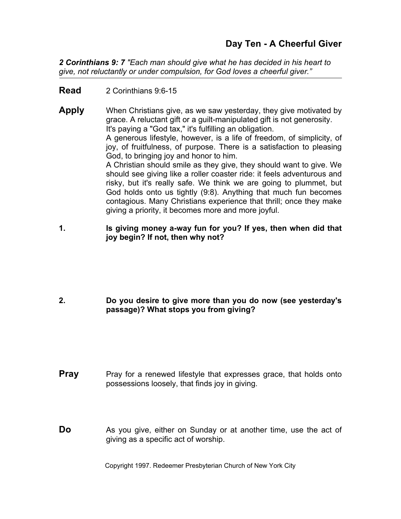*2 Corinthians 9: 7 "Each man should give what he has decided in his heart to give, not reluctantly or under compulsion, for God loves a cheerful giver."*

**Read** 2 Corinthians 9:6-15

**Apply** When Christians give, as we saw yesterday, they give motivated by grace. A reluctant gift or a guilt-manipulated gift is not generosity. It's paying a "God tax," it's fulfilling an obligation. A generous lifestyle, however, is a life of freedom, of simplicity, of joy, of fruitfulness, of purpose. There is a satisfaction to pleasing God, to bringing joy and honor to him. A Christian should smile as they give, they should want to give. We should see giving like a roller coaster ride: it feels adventurous and risky, but it's really safe. We think we are going to plummet, but God holds onto us tightly (9:8). Anything that much fun becomes contagious. Many Christians experience that thrill; once they make giving a priority, it becomes more and more joyful.

**1. Is giving money a-way fun for you? If yes, then when did that joy begin? If not, then why not?** 

**2. Do you desire to give more than you do now (see yesterday's passage)? What stops you from giving?** 

- **Pray** Pray for a renewed lifestyle that expresses grace, that holds onto possessions loosely, that finds joy in giving.
- **Do** As you give, either on Sunday or at another time, use the act of giving as a specific act of worship.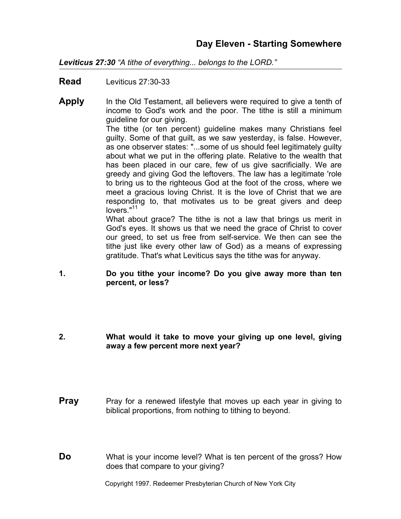*Leviticus 27:30 "A tithe of everything... belongs to the LORD."*

**Read** Leviticus 27:30-33

- **Apply** In the Old Testament, all believers were required to give a tenth of income to God's work and the poor. The tithe is still a minimum guideline for our giving. The tithe (or ten percent) guideline makes many Christians feel guilty. Some of that guilt, as we saw yesterday, is false. However, as one observer states: "...some of us should feel legitimately guilty about what we put in the offering plate. Relative to the wealth that has been placed in our care, few of us give sacrificially. We are greedy and giving God the leftovers. The law has a legitimate 'role to bring us to the righteous God at the foot of the cross, where we meet a gracious loving Christ. It is the love of Christ that we are responding to, that motivates us to be great givers and deep lovers."<sup>11</sup> What about grace? The tithe is not a law that brings us merit in God's eyes. It shows us that we need the grace of Christ to cover our greed, to set us free from self-service. We then can see the
	- gratitude. That's what Leviticus says the tithe was for anyway.

tithe just like every other law of God) as a means of expressing

- **1. Do you tithe your income? Do you give away more than ten percent, or less?**
- **2. What would it take to move your giving up one level, giving away a few percent more next year?**
- **Pray** Pray for a renewed lifestyle that moves up each year in giving to biblical proportions, from nothing to tithing to beyond.
- **Do** What is your income level? What is ten percent of the gross? How does that compare to your giving?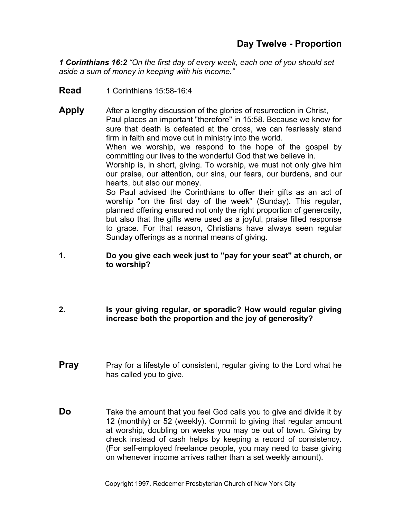*1 Corinthians 16:2 "On the first day of every week, each one of you should set aside a sum of money in keeping with his income."*

**Read** 1 Corinthians 15:58-16:4

**Apply** After a lengthy discussion of the glories of resurrection in Christ, Paul places an important "therefore" in 15:58. Because we know for sure that death is defeated at the cross, we can fearlessly stand firm in faith and move out in ministry into the world. When we worship, we respond to the hope of the gospel by committing our lives to the wonderful God that we believe in. Worship is, in short, giving. To worship, we must not only give him

our praise, our attention, our sins, our fears, our burdens, and our hearts, but also our money.

So Paul advised the Corinthians to offer their gifts as an act of worship "on the first day of the week" (Sunday). This regular, planned offering ensured not only the right proportion of generosity, but also that the gifts were used as a joyful, praise filled response to grace. For that reason, Christians have always seen regular Sunday offerings as a normal means of giving.

#### **1. Do you give each week just to "pay for your seat" at church, or to worship?**

- **2. Is your giving regular, or sporadic? How would regular giving increase both the proportion and the joy of generosity?**
- **Pray** Pray for a lifestyle of consistent, regular giving to the Lord what he has called you to give.
- **Do** Take the amount that you feel God calls you to give and divide it by 12 (monthly) or 52 (weekly). Commit to giving that regular amount at worship, doubling on weeks you may be out of town. Giving by check instead of cash helps by keeping a record of consistency. (For self-employed freelance people, you may need to base giving on whenever income arrives rather than a set weekly amount).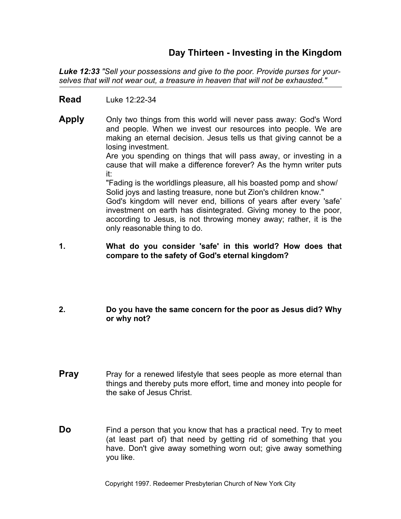# **Day Thirteen - Investing in the Kingdom**

*Luke 12:33 "Sell your possessions and give to the poor. Provide purses for yourselves that will not wear out, a treasure in heaven that will not be exhausted."*

#### **Read** Luke 12:22-34

**Apply** Only two things from this world will never pass away: God's Word and people. When we invest our resources into people. We are making an eternal decision. Jesus tells us that giving cannot be a losing investment.

> Are you spending on things that will pass away, or investing in a cause that will make a difference forever? As the hymn writer puts it:

"Fading is the worldlings pleasure, all his boasted pomp and show/ Solid joys and lasting treasure, none but Zion's children know."

God's kingdom will never end, billions of years after every 'safe' investment on earth has disintegrated. Giving money to the poor, according to Jesus, is not throwing money away; rather, it is the only reasonable thing to do.

#### **1. What do you consider 'safe' in this world? How does that compare to the safety of God's eternal kingdom?**

#### **2. Do you have the same concern for the poor as Jesus did? Why or why not?**

- **Pray** Pray for a renewed lifestyle that sees people as more eternal than things and thereby puts more effort, time and money into people for the sake of Jesus Christ.
- **Do** Find a person that you know that has a practical need. Try to meet (at least part of) that need by getting rid of something that you have. Don't give away something worn out; give away something you like.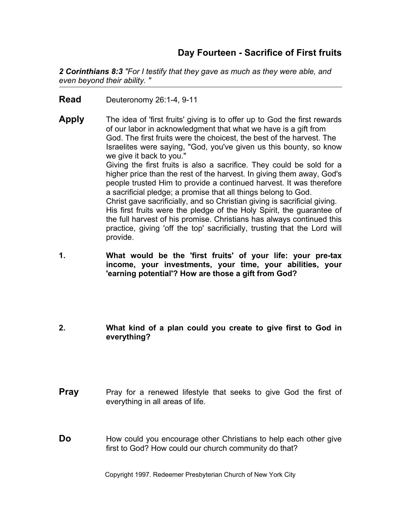# **Day Fourteen - Sacrifice of First fruits**

*2 Corinthians 8:3 "For I testify that they gave as much as they were able, and even beyond their ability. "*

**Read** Deuteronomy 26:1-4, 9-11

**Apply** The idea of 'first fruits' giving is to offer up to God the first rewards of our labor in acknowledgment that what we have is a gift from God. The first fruits were the choicest, the best of the harvest. The Israelites were saying, "God, you've given us this bounty, so know we give it back to you." Giving the first fruits is also a sacrifice. They could be sold for a higher price than the rest of the harvest. In giving them away, God's people trusted Him to provide a continued harvest. It was therefore a sacrificial pledge; a promise that all things belong to God. Christ gave sacrificially, and so Christian giving is sacrificial giving. His first fruits were the pledge of the Holy Spirit, the guarantee of

the full harvest of his promise. Christians has always continued this practice, giving 'off the top' sacrificially, trusting that the Lord will provide.

- **1. What would be the 'first fruits' of your life: your pre-tax income, your investments, your time, your abilities, your 'earning potential'? How are those a gift from God?**
- **2. What kind of a plan could you create to give first to God in everything?**
- **Pray** Pray for a renewed lifestyle that seeks to give God the first of everything in all areas of life.
- **Do** How could you encourage other Christians to help each other give first to God? How could our church community do that?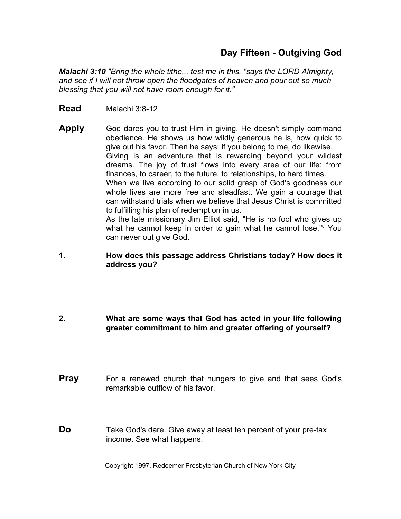# **Day Fifteen - Outgiving God**

*Malachi 3:10 "Bring the whole tithe... test me in this, "says the LORD Almighty, and see if I will not throw open the floodgates of heaven and pour out so much blessing that you will not have room enough for it."*

- **Read** Malachi 3:8-12
- **Apply** God dares you to trust Him in giving. He doesn't simply command obedience. He shows us how wildly generous he is, how quick to give out his favor. Then he says: if you belong to me, do likewise. Giving is an adventure that is rewarding beyond your wildest dreams. The joy of trust flows into every area of our life: from finances, to career, to the future, to relationships, to hard times. When we live according to our solid grasp of God's goodness our whole lives are more free and steadfast. We gain a courage that can withstand trials when we believe that Jesus Christ is committed to fulfilling his plan of redemption in us. As the late missionary Jim Elliot said, "He is no fool who gives up what he cannot keep in order to gain what he cannot lose."8 You can never out give God.

#### **1. How does this passage address Christians today? How does it address you?**

#### **2. What are some ways that God has acted in your life following greater commitment to him and greater offering of yourself?**

- **Pray** For a renewed church that hungers to give and that sees God's remarkable outflow of his favor.
- **Do** Take God's dare. Give away at least ten percent of your pre-tax income. See what happens.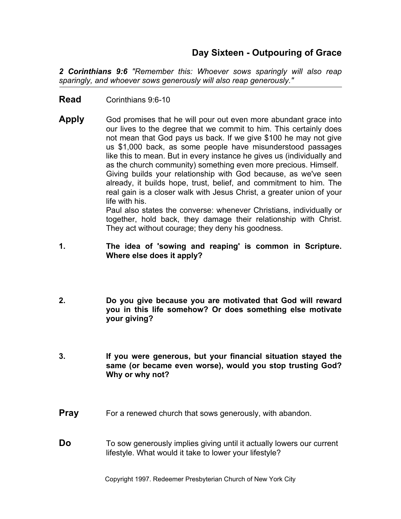# **Day Sixteen - Outpouring of Grace**

*2 Corinthians 9:6 "Remember this: Whoever sows sparingly will also reap sparingly, and whoever sows generously will also reap generously."* 

- **Read** Corinthians 9:6-10
- **Apply** God promises that he will pour out even more abundant grace into our lives to the degree that we commit to him. This certainly does not mean that God pays us back. If we give \$100 he may not give us \$1,000 back, as some people have misunderstood passages like this to mean. But in every instance he gives us (individually and as the church community) something even more precious. Himself. Giving builds your relationship with God because, as we've seen already, it builds hope, trust, belief, and commitment to him. The real gain is a closer walk with Jesus Christ, a greater union of your life with his.

Paul also states the converse: whenever Christians, individually or together, hold back, they damage their relationship with Christ. They act without courage; they deny his goodness.

- **1. The idea of 'sowing and reaping' is common in Scripture. Where else does it apply?**
- **2. Do you give because you are motivated that God will reward you in this life somehow? Or does something else motivate your giving?**
- **3. If you were generous, but your financial situation stayed the same (or became even worse), would you stop trusting God? Why or why not?**
- **Pray** For a renewed church that sows generously, with abandon.
- **Do** To sow generously implies giving until it actually lowers our current lifestyle. What would it take to lower your lifestyle?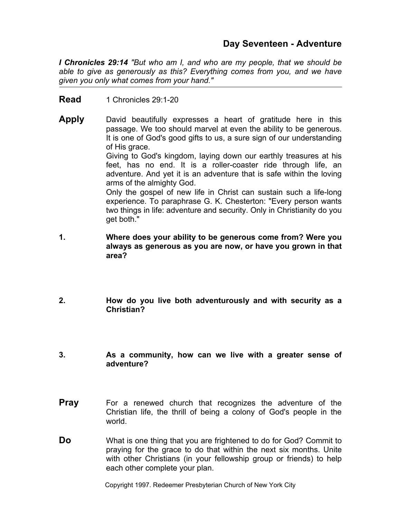## **Day Seventeen - Adventure**

*I Chronicles 29:14 "But who am I, and who are my people, that we should be able to give as generously as this? Everything comes from you, and we have given you only what comes from your hand."*

**Read** 1 Chronicles 29:1-20

**Apply** David beautifully expresses a heart of gratitude here in this passage. We too should marvel at even the ability to be generous. It is one of God's good gifts to us, a sure sign of our understanding of His grace. Giving to God's kingdom, laying down our earthly treasures at his feet, has no end. It is a roller-coaster ride through life, an adventure. And yet it is an adventure that is safe within the loving arms of the almighty God.

> Only the gospel of new life in Christ can sustain such a life-long experience. To paraphrase G. K. Chesterton: "Every person wants two things in life: adventure and security. Only in Christianity do you get both."

- **1. Where does your ability to be generous come from? Were you always as generous as you are now, or have you grown in that area?**
- **2. How do you live both adventurously and with security as a Christian?**
- **3. As a community, how can we live with a greater sense of adventure?**
- **Pray** For a renewed church that recognizes the adventure of the Christian life, the thrill of being a colony of God's people in the world.
- **Do** What is one thing that you are frightened to do for God? Commit to praying for the grace to do that within the next six months. Unite with other Christians (in your fellowship group or friends) to help each other complete your plan.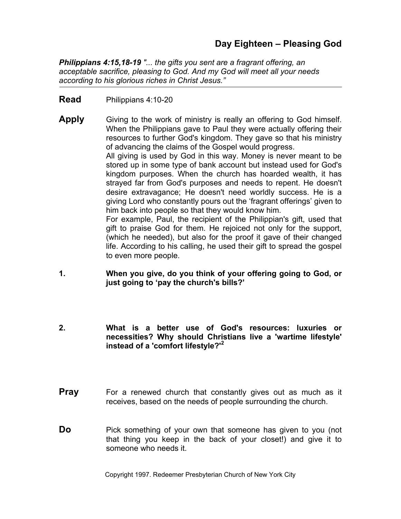# **Day Eighteen – Pleasing God**

*Philippians 4:15,18-19 "... the gifts you sent are a fragrant offering, an acceptable sacrifice, pleasing to God. And my God will meet all your needs according to his glorious riches in Christ Jesus."* 

- **Read** Philippians 4:10-20
- **Apply** Giving to the work of ministry is really an offering to God himself. When the Philippians gave to Paul they were actually offering their resources to further God's kingdom. They gave so that his ministry of advancing the claims of the Gospel would progress. All giving is used by God in this way. Money is never meant to be stored up in some type of bank account but instead used for God's kingdom purposes. When the church has hoarded wealth, it has strayed far from God's purposes and needs to repent. He doesn't desire extravagance; He doesn't need worldly success. He is a giving Lord who constantly pours out the 'fragrant offerings' given to him back into people so that they would know him. For example, Paul, the recipient of the Philippian's gift, used that gift to praise God for them. He rejoiced not only for the support, (which he needed), but also for the proof it gave of their changed life. According to his calling, he used their gift to spread the gospel to even more people.
- **1. When you give, do you think of your offering going to God, or just going to 'pay the church's bills?'**
- **2. What is a better use of God's resources: luxuries or necessities? Why should Christians live a 'wartime lifestyle' instead of a 'comfort lifestyle?'<sup>2</sup>**
- **Pray** For a renewed church that constantly gives out as much as it receives, based on the needs of people surrounding the church.
- **Do** Pick something of your own that someone has given to you (not that thing you keep in the back of your closet!) and give it to someone who needs it.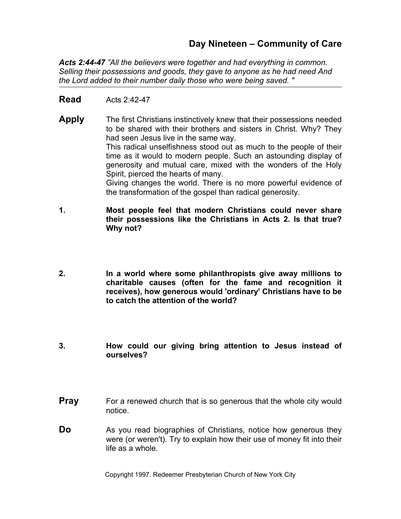# **Day Nineteen – Community of Care**

*Acts 2:44-47 "All the believers were together and had everything in common. Selling their possessions and goods, they gave to anyone as he had need And the Lord added to their number daily those who were being saved. "* 

#### **Read** Acts 2:42-47

- **Apply** The first Christians instinctively knew that their possessions needed to be shared with their brothers and sisters in Christ. Why? They had seen Jesus live in the same way. This radical unselfishness stood out as much to the people of their time as it would to modern people. Such an astounding display of generosity and mutual care, mixed with the wonders of the Holy Spirit, pierced the hearts of many. Giving changes the world. There is no more powerful evidence of the transformation of the gospel than radical generosity.
- **1. Most people feel that modern Christians could never share their possessions like the Christians in Acts 2. Is that true? Why not?**
- **2. In a world where some philanthropists give away millions to charitable causes (often for the fame and recognition it receives), how generous would 'ordinary' Christians have to be to catch the attention of the world?**
- **3. How could our giving bring attention to Jesus instead of ourselves?**
- **Pray** For a renewed church that is so generous that the whole city would notice.
- **Do** As you read biographies of Christians, notice how generous they were (or weren't). Try to explain how their use of money fit into their life as a whole.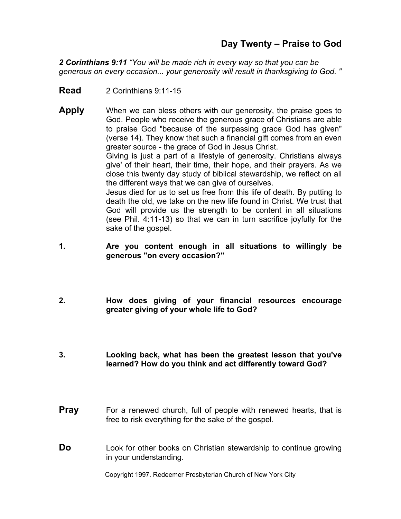*2 Corinthians 9:11 "You will be made rich in every way so that you can be generous on every occasion... your generosity will result in thanksgiving to God. "* 

**Read** 2 Corinthians 9:11-15

sake of the gospel.

**Apply** When we can bless others with our generosity, the praise goes to God. People who receive the generous grace of Christians are able to praise God "because of the surpassing grace God has given" (verse 14). They know that such a financial gift comes from an even greater source - the grace of God in Jesus Christ. Giving is just a part of a lifestyle of generosity. Christians always give' of their heart, their time, their hope, and their prayers. As we close this twenty day study of biblical stewardship, we reflect on all the different ways that we can give of ourselves. Jesus died for us to set us free from this life of death. By putting to death the old, we take on the new life found in Christ. We trust that God will provide us the strength to be content in all situations (see Phil. 4:11-13) so that we can in turn sacrifice joyfully for the

- **1. Are you content enough in all situations to willingly be generous "on every occasion?"**
- **2. How does giving of your financial resources encourage greater giving of your whole life to God?**
- **3. Looking back, what has been the greatest lesson that you've learned? How do you think and act differently toward God?**
- **Pray** For a renewed church, full of people with renewed hearts, that is free to risk everything for the sake of the gospel.
- **Do** Look for other books on Christian stewardship to continue growing in your understanding.